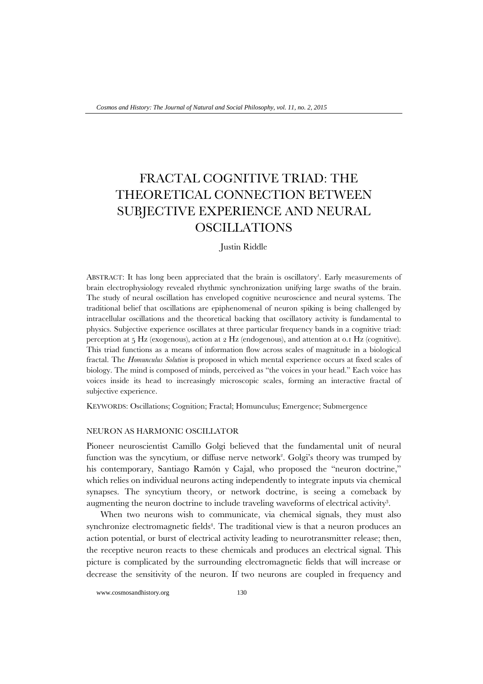# FRACTAL COGNITIVE TRIAD: THE THEORETICAL CONNECTION BETWEEN SUBJECTIVE EXPERIENCE AND NEURAL OSCILLATIONS

## Justin Riddle

ABSTRACT: It has long been appreciated that the brain is oscillatory<sup>1</sup>. Early measurements of brain electrophysiology revealed rhythmic synchronization unifying large swaths of the brain. The study of neural oscillation has enveloped cognitive neuroscience and neural systems. The traditional belief that oscillations are epiphenomenal of neuron spiking is being challenged by intracellular oscillations and the theoretical backing that oscillatory activity is fundamental to physics. Subjective experience oscillates at three particular frequency bands in a cognitive triad: perception at 5 Hz (exogenous), action at 2 Hz (endogenous), and attention at 0.1 Hz (cognitive). This triad functions as a means of information flow across scales of magnitude in a biological fractal. The *Homunculus Solution* is proposed in which mental experience occurs at fixed scales of biology. The mind is composed of minds, perceived as "the voices in your head." Each voice has voices inside its head to increasingly microscopic scales, forming an interactive fractal of subjective experience.

KEYWORDS: Oscillations; Cognition; Fractal; Homunculus; Emergence; Submergence

## NEURON AS HARMONIC OSCILLATOR

Pioneer neuroscientist Camillo Golgi believed that the fundamental unit of neural function was the syncytium, or diffuse nerve network<sup>2</sup>. Golgi's theory was trumped by his contemporary, Santiago Ramón y Cajal, who proposed the "neuron doctrine," which relies on individual neurons acting independently to integrate inputs via chemical synapses. The syncytium theory, or network doctrine, is seeing a comeback by augmenting the neuron doctrine to include traveling waveforms of electrical activity<sup>3</sup>.

When two neurons wish to communicate, via chemical signals, they must also synchronize electromagnetic fields<sup>4</sup>. The traditional view is that a neuron produces an action potential, or burst of electrical activity leading to neurotransmitter release; then, the receptive neuron reacts to these chemicals and produces an electrical signal. This picture is complicated by the surrounding electromagnetic fields that will increase or decrease the sensitivity of the neuron. If two neurons are coupled in frequency and

www.cosmosandhistory.org 130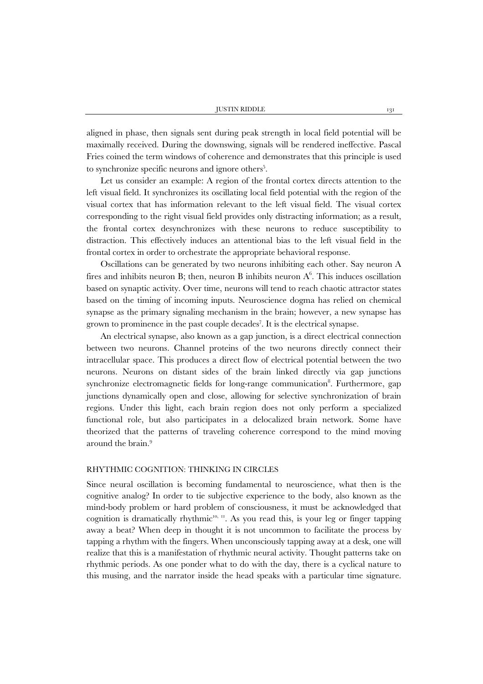aligned in phase, then signals sent during peak strength in local field potential will be maximally received. During the downswing, signals will be rendered ineffective. Pascal Fries coined the term windows of coherence and demonstrates that this principle is used to synchronize specific neurons and ignore others<sup>5</sup>.

Let us consider an example: A region of the frontal cortex directs attention to the left visual field. It synchronizes its oscillating local field potential with the region of the visual cortex that has information relevant to the left visual field. The visual cortex corresponding to the right visual field provides only distracting information; as a result, the frontal cortex desynchronizes with these neurons to reduce susceptibility to distraction. This effectively induces an attentional bias to the left visual field in the frontal cortex in order to orchestrate the appropriate behavioral response.

Oscillations can be generated by two neurons inhibiting each other. Say neuron A fires and inhibits neuron B; then, neuron B inhibits neuron  $A^6$ . This induces oscillation based on synaptic activity. Over time, neurons will tend to reach chaotic attractor states based on the timing of incoming inputs. Neuroscience dogma has relied on chemical synapse as the primary signaling mechanism in the brain; however, a new synapse has grown to prominence in the past couple decades<sup>7</sup>. It is the electrical synapse.

An electrical synapse, also known as a gap junction, is a direct electrical connection between two neurons. Channel proteins of the two neurons directly connect their intracellular space. This produces a direct flow of electrical potential between the two neurons. Neurons on distant sides of the brain linked directly via gap junctions synchronize electromagnetic fields for long-range communication<sup>8</sup>. Furthermore, gap junctions dynamically open and close, allowing for selective synchronization of brain regions. Under this light, each brain region does not only perform a specialized functional role, but also participates in a delocalized brain network. Some have theorized that the patterns of traveling coherence correspond to the mind moving around the brain. 9

## RHYTHMIC COGNITION: THINKING IN CIRCLES

Since neural oscillation is becoming fundamental to neuroscience, what then is the cognitive analog? In order to tie subjective experience to the body, also known as the mind-body problem or hard problem of consciousness, it must be acknowledged that cognition is dramatically rhythmic $10, 11$ . As you read this, is your leg or finger tapping away a beat? When deep in thought it is not uncommon to facilitate the process by tapping a rhythm with the fingers. When unconsciously tapping away at a desk, one will realize that this is a manifestation of rhythmic neural activity. Thought patterns take on rhythmic periods. As one ponder what to do with the day, there is a cyclical nature to this musing, and the narrator inside the head speaks with a particular time signature.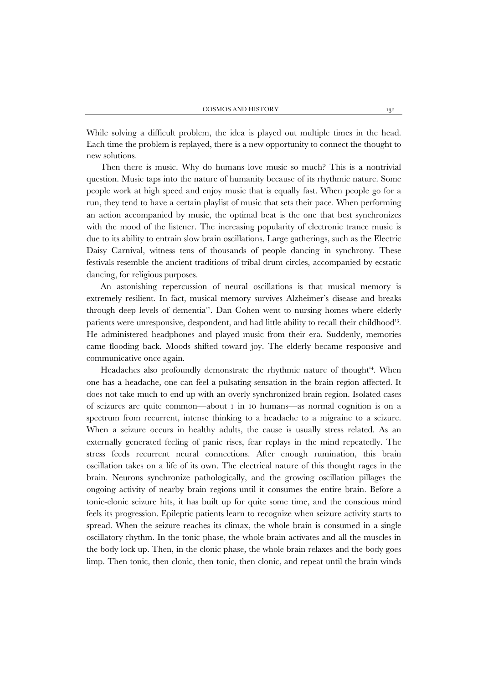While solving a difficult problem, the idea is played out multiple times in the head. Each time the problem is replayed, there is a new opportunity to connect the thought to new solutions.

Then there is music. Why do humans love music so much? This is a nontrivial question. Music taps into the nature of humanity because of its rhythmic nature. Some people work at high speed and enjoy music that is equally fast. When people go for a run, they tend to have a certain playlist of music that sets their pace. When performing an action accompanied by music, the optimal beat is the one that best synchronizes with the mood of the listener. The increasing popularity of electronic trance music is due to its ability to entrain slow brain oscillations. Large gatherings, such as the Electric Daisy Carnival, witness tens of thousands of people dancing in synchrony. These festivals resemble the ancient traditions of tribal drum circles, accompanied by ecstatic dancing, for religious purposes.

An astonishing repercussion of neural oscillations is that musical memory is extremely resilient. In fact, musical memory survives Alzheimer's disease and breaks through deep levels of dementia<sup>12</sup>. Dan Cohen went to nursing homes where elderly patients were unresponsive, despondent, and had little ability to recall their childhood13. He administered headphones and played music from their era. Suddenly, memories came flooding back. Moods shifted toward joy. The elderly became responsive and communicative once again.

Headaches also profoundly demonstrate the rhythmic nature of thought $^{14}$ . When one has a headache, one can feel a pulsating sensation in the brain region affected. It does not take much to end up with an overly synchronized brain region. Isolated cases of seizures are quite common—about 1 in 10 humans—as normal cognition is on a spectrum from recurrent, intense thinking to a headache to a migraine to a seizure. When a seizure occurs in healthy adults, the cause is usually stress related. As an externally generated feeling of panic rises, fear replays in the mind repeatedly. The stress feeds recurrent neural connections. After enough rumination, this brain oscillation takes on a life of its own. The electrical nature of this thought rages in the brain. Neurons synchronize pathologically, and the growing oscillation pillages the ongoing activity of nearby brain regions until it consumes the entire brain. Before a tonic-clonic seizure hits, it has built up for quite some time, and the conscious mind feels its progression. Epileptic patients learn to recognize when seizure activity starts to spread. When the seizure reaches its climax, the whole brain is consumed in a single oscillatory rhythm. In the tonic phase, the whole brain activates and all the muscles in the body lock up. Then, in the clonic phase, the whole brain relaxes and the body goes limp. Then tonic, then clonic, then tonic, then clonic, and repeat until the brain winds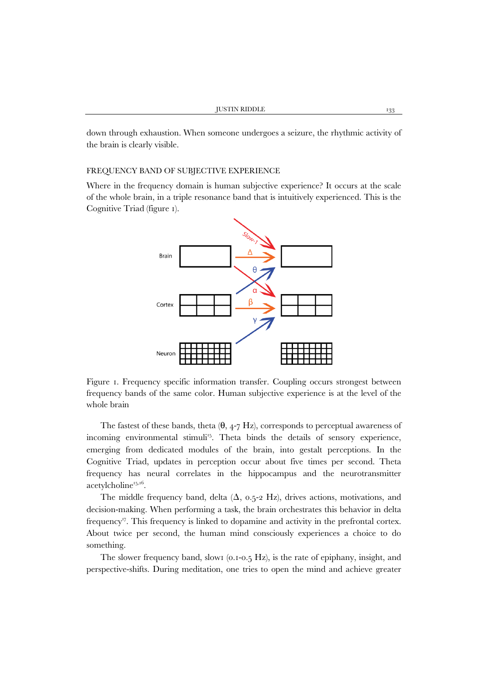down through exhaustion. When someone undergoes a seizure, the rhythmic activity of the brain is clearly visible.

#### FREQUENCY BAND OF SUBJECTIVE EXPERIENCE

Where in the frequency domain is human subjective experience? It occurs at the scale of the whole brain, in a triple resonance band that is intuitively experienced. This is the Cognitive Triad (figure 1).



Figure 1. Frequency specific information transfer. Coupling occurs strongest between frequency bands of the same color. Human subjective experience is at the level of the whole brain

The fastest of these bands, theta  $(\theta, 4-7 \text{ Hz})$ , corresponds to perceptual awareness of incoming environmental stimuli<sup>15</sup>. Theta binds the details of sensory experience, emerging from dedicated modules of the brain, into gestalt perceptions. In the Cognitive Triad, updates in perception occur about five times per second. Theta frequency has neural correlates in the hippocampus and the neurotransmitter  $acetylcholine<sup>15,16</sup>$ .

The middle frequency band, delta  $(\Delta, 0.5-2 \text{ Hz})$ , drives actions, motivations, and decision-making. When performing a task, the brain orchestrates this behavior in delta frequency<sup>17</sup>. This frequency is linked to dopamine and activity in the prefrontal cortex. About twice per second, the human mind consciously experiences a choice to do something.

The slower frequency band, slow1 (0.1-0.5 Hz), is the rate of epiphany, insight, and perspective-shifts. During meditation, one tries to open the mind and achieve greater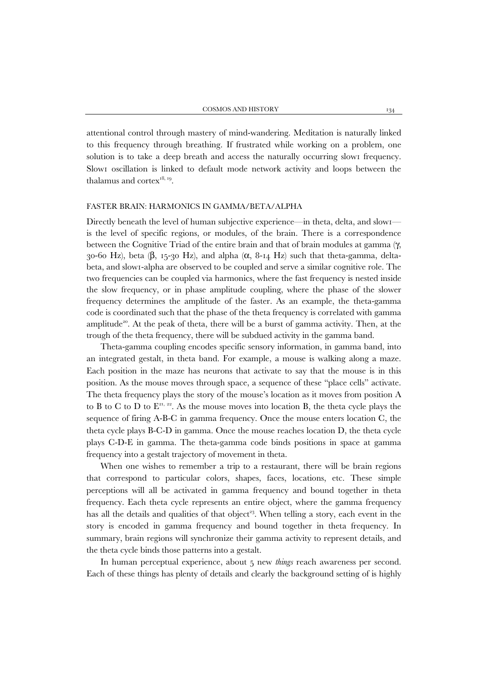attentional control through mastery of mind-wandering. Meditation is naturally linked to this frequency through breathing. If frustrated while working on a problem, one solution is to take a deep breath and access the naturally occurring slow1 frequency. Slow1 oscillation is linked to default mode network activity and loops between the thalamus and cortex<sup>18, 19</sup>.

### FASTER BRAIN: HARMONICS IN GAMMA/BETA/ALPHA

Directly beneath the level of human subjective experience—in theta, delta, and slow1 is the level of specific regions, or modules, of the brain. There is a correspondence between the Cognitive Triad of the entire brain and that of brain modules at gamma (γ, 30-60 Hz), beta (β, 15-30 Hz), and alpha ( $\alpha$ , 8-14 Hz) such that theta-gamma, deltabeta, and slow1-alpha are observed to be coupled and serve a similar cognitive role. The two frequencies can be coupled via harmonics, where the fast frequency is nested inside the slow frequency, or in phase amplitude coupling, where the phase of the slower frequency determines the amplitude of the faster. As an example, the theta-gamma code is coordinated such that the phase of the theta frequency is correlated with gamma amplitude<sup>20</sup>. At the peak of theta, there will be a burst of gamma activity. Then, at the trough of the theta frequency, there will be subdued activity in the gamma band.

Theta-gamma coupling encodes specific sensory information, in gamma band, into an integrated gestalt, in theta band. For example, a mouse is walking along a maze. Each position in the maze has neurons that activate to say that the mouse is in this position. As the mouse moves through space, a sequence of these "place cells" activate. The theta frequency plays the story of the mouse's location as it moves from position A to B to C to D to  $E^{21, 22}$ . As the mouse moves into location B, the theta cycle plays the sequence of firing A-B-C in gamma frequency. Once the mouse enters location C, the theta cycle plays B-C-D in gamma. Once the mouse reaches location D, the theta cycle plays C-D-E in gamma. The theta-gamma code binds positions in space at gamma frequency into a gestalt trajectory of movement in theta.

When one wishes to remember a trip to a restaurant, there will be brain regions that correspond to particular colors, shapes, faces, locations, etc. These simple perceptions will all be activated in gamma frequency and bound together in theta frequency. Each theta cycle represents an entire object, where the gamma frequency has all the details and qualities of that object<sup>23</sup>. When telling a story, each event in the story is encoded in gamma frequency and bound together in theta frequency. In summary, brain regions will synchronize their gamma activity to represent details, and the theta cycle binds those patterns into a gestalt.

In human perceptual experience, about 5 new *things* reach awareness per second. Each of these things has plenty of details and clearly the background setting of is highly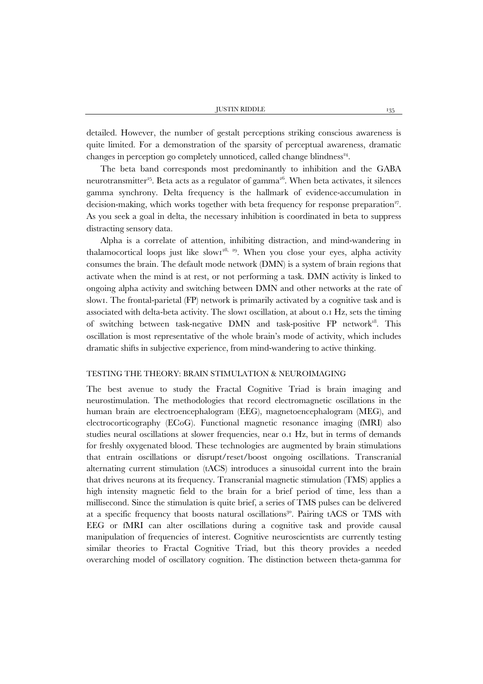detailed. However, the number of gestalt perceptions striking conscious awareness is quite limited. For a demonstration of the sparsity of perceptual awareness, dramatic changes in perception go completely unnoticed, called change blindness<sup> $24$ </sup>.

The beta band corresponds most predominantly to inhibition and the GABA neurotransmitter<sup>25</sup>. Beta acts as a regulator of gamma<sup>26</sup>. When beta activates, it silences gamma synchrony. Delta frequency is the hallmark of evidence-accumulation in decision-making, which works together with beta frequency for response preparation<sup>27</sup>. As you seek a goal in delta, the necessary inhibition is coordinated in beta to suppress distracting sensory data.

Alpha is a correlate of attention, inhibiting distraction, and mind-wandering in thalamocortical loops just like slow $1^{28, 29}$ . When you close your eyes, alpha activity consumes the brain. The default mode network (DMN) is a system of brain regions that activate when the mind is at rest, or not performing a task. DMN activity is linked to ongoing alpha activity and switching between DMN and other networks at the rate of slow1. The frontal-parietal (FP) network is primarily activated by a cognitive task and is associated with delta-beta activity. The slow1 oscillation, at about 0.1 Hz, sets the timing of switching between task-negative DMN and task-positive FP network<sup>18</sup>. This oscillation is most representative of the whole brain's mode of activity, which includes dramatic shifts in subjective experience, from mind-wandering to active thinking.

#### TESTING THE THEORY: BRAIN STIMULATION & NEUROIMAGING

The best avenue to study the Fractal Cognitive Triad is brain imaging and neurostimulation. The methodologies that record electromagnetic oscillations in the human brain are electroencephalogram (EEG), magnetoencephalogram (MEG), and electrocorticography (ECoG). Functional magnetic resonance imaging (fMRI) also studies neural oscillations at slower frequencies, near 0.1 Hz, but in terms of demands for freshly oxygenated blood. These technologies are augmented by brain stimulations that entrain oscillations or disrupt/reset/boost ongoing oscillations. Transcranial alternating current stimulation (tACS) introduces a sinusoidal current into the brain that drives neurons at its frequency. Transcranial magnetic stimulation (TMS) applies a high intensity magnetic field to the brain for a brief period of time, less than a millisecond. Since the stimulation is quite brief, a series of TMS pulses can be delivered at a specific frequency that boosts natural oscillations<sup>30</sup>. Pairing tACS or TMS with EEG or fMRI can alter oscillations during a cognitive task and provide causal manipulation of frequencies of interest. Cognitive neuroscientists are currently testing similar theories to Fractal Cognitive Triad, but this theory provides a needed overarching model of oscillatory cognition. The distinction between theta-gamma for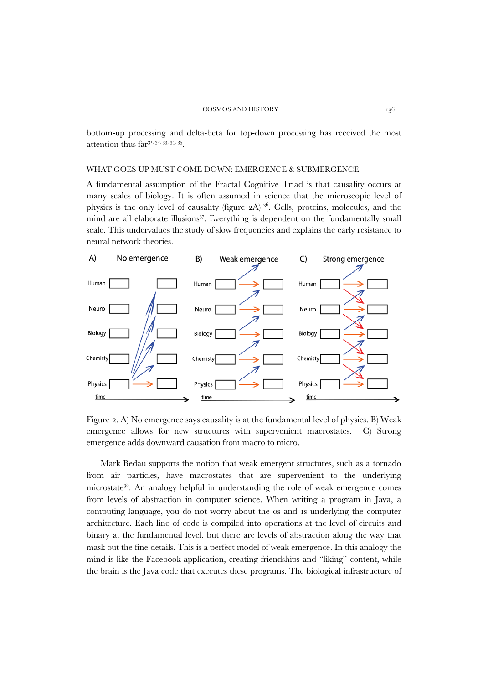bottom-up processing and delta-beta for top-down processing has received the most attention thus  $far^{31, 32, 33, 34, 35}$ .

#### WHAT GOES UP MUST COME DOWN: EMERGENCE & SUBMERGENCE

A fundamental assumption of the Fractal Cognitive Triad is that causality occurs at many scales of biology. It is often assumed in science that the microscopic level of physics is the only level of causality (figure  $2A$ )<sup>36</sup>. Cells, proteins, molecules, and the mind are all elaborate illusions $37$ . Everything is dependent on the fundamentally small scale. This undervalues the study of slow frequencies and explains the early resistance to neural network theories.



Figure 2. A) No emergence says causality is at the fundamental level of physics. B) Weak emergence allows for new structures with supervenient macrostates. C) Strong emergence adds downward causation from macro to micro.

Mark Bedau supports the notion that weak emergent structures, such as a tornado from air particles, have macrostates that are supervenient to the underlying microstate38. An analogy helpful in understanding the role of weak emergence comes from levels of abstraction in computer science. When writing a program in Java, a computing language, you do not worry about the 0s and 1s underlying the computer architecture. Each line of code is compiled into operations at the level of circuits and binary at the fundamental level, but there are levels of abstraction along the way that mask out the fine details. This is a perfect model of weak emergence. In this analogy the mind is like the Facebook application, creating friendships and "liking" content, while the brain is the Java code that executes these programs. The biological infrastructure of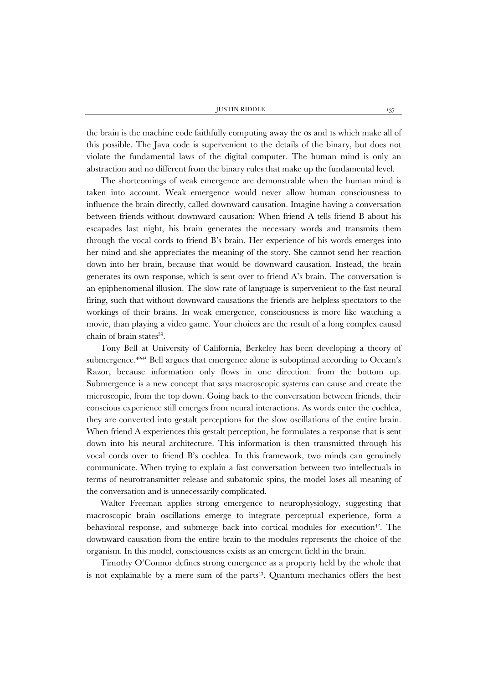the brain is the machine code faithfully computing away the 0s and 1s which make all of this possible. The Java code is supervenient to the details of the binary, but does not violate the fundamental laws of the digital computer. The human mind is only an abstraction and no different from the binary rules that make up the fundamental level.

The shortcomings of weak emergence are demonstrable when the human mind is taken into account. Weak emergence would never allow human consciousness to influence the brain directly, called downward causation. Imagine having a conversation between friends without downward causation: When friend A tells friend B about his escapades last night, his brain generates the necessary words and transmits them through the vocal cords to friend B's brain. Her experience of his words emerges into her mind and she appreciates the meaning of the story. She cannot send her reaction down into her brain, because that would be downward causation. Instead, the brain generates its own response, which is sent over to friend A's brain. The conversation is an epiphenomenal illusion. The slow rate of language is supervenient to the fast neural firing, such that without downward causations the friends are helpless spectators to the workings of their brains. In weak emergence, consciousness is more like watching a movie, than playing a video game. Your choices are the result of a long complex causal chain of brain states<sup>39</sup>.

Tony Bell at University of California, Berkeley has been developing a theory of submergence.<sup>40,41</sup> Bell argues that emergence alone is suboptimal according to Occam's Razor, because information only flows in one direction: from the bottom up. Submergence is a new concept that says macroscopic systems can cause and create the microscopic, from the top down. Going back to the conversation between friends, their conscious experience still emerges from neural interactions. As words enter the cochlea, they are converted into gestalt perceptions for the slow oscillations of the entire brain. When friend A experiences this gestalt perception, he formulates a response that is sent down into his neural architecture. This information is then transmitted through his vocal cords over to friend B's cochlea. In this framework, two minds can genuinely communicate. When trying to explain a fast conversation between two intellectuals in terms of neurotransmitter release and subatomic spins, the model loses all meaning of the conversation and is unnecessarily complicated.

Walter Freeman applies strong emergence to neurophysiology, suggesting that macroscopic brain oscillations emerge to integrate perceptual experience, form a behavioral response, and submerge back into cortical modules for execution $4^2$ . The downward causation from the entire brain to the modules represents the choice of the organism. In this model, consciousness exists as an emergent field in the brain.

Timothy O'Connor defines strong emergence as a property held by the whole that is not explainable by a mere sum of the parts $43$ . Quantum mechanics offers the best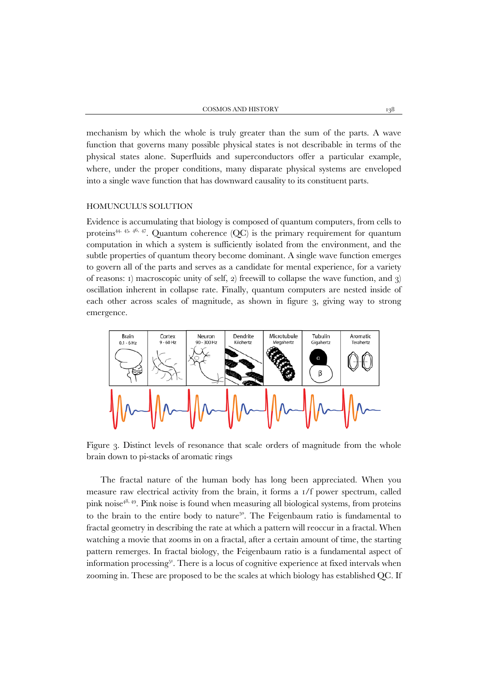mechanism by which the whole is truly greater than the sum of the parts. A wave function that governs many possible physical states is not describable in terms of the physical states alone. Superfluids and superconductors offer a particular example, where, under the proper conditions, many disparate physical systems are enveloped into a single wave function that has downward causality to its constituent parts.

#### HOMUNCULUS SOLUTION

Evidence is accumulating that biology is composed of quantum computers, from cells to proteins<sup>44, 45, 46, 47</sup>. Quantum coherence (QC) is the primary requirement for quantum computation in which a system is sufficiently isolated from the environment, and the subtle properties of quantum theory become dominant. A single wave function emerges to govern all of the parts and serves as a candidate for mental experience, for a variety of reasons: 1) macroscopic unity of self, 2) freewill to collapse the wave function, and 3) oscillation inherent in collapse rate. Finally, quantum computers are nested inside of each other across scales of magnitude, as shown in figure 3, giving way to strong emergence.



Figure 3. Distinct levels of resonance that scale orders of magnitude from the whole brain down to pi-stacks of aromatic rings

The fractal nature of the human body has long been appreciated. When you measure raw electrical activity from the brain, it forms a 1/f power spectrum, called pink noise<sup>48, 49</sup>. Pink noise is found when measuring all biological systems, from proteins to the brain to the entire body to nature<sup>50</sup>. The Feigenbaum ratio is fundamental to fractal geometry in describing the rate at which a pattern will reoccur in a fractal. When watching a movie that zooms in on a fractal, after a certain amount of time, the starting pattern remerges. In fractal biology, the Feigenbaum ratio is a fundamental aspect of information processing51. There is a locus of cognitive experience at fixed intervals when zooming in. These are proposed to be the scales at which biology has established QC. If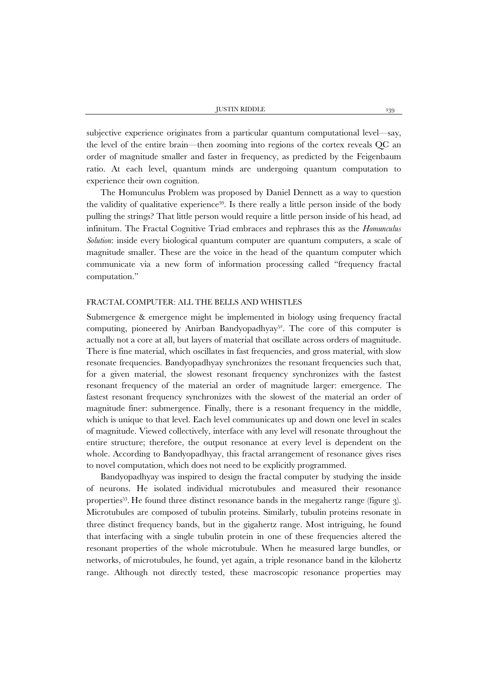subjective experience originates from a particular quantum computational level—say, the level of the entire brain—then zooming into regions of the cortex reveals QC an order of magnitude smaller and faster in frequency, as predicted by the Feigenbaum ratio. At each level, quantum minds are undergoing quantum computation to experience their own cognition.

The Homunculus Problem was proposed by Daniel Dennett as a way to question the validity of qualitative experience39. Is there really a little person inside of the body pulling the strings? That little person would require a little person inside of his head, ad infinitum. The Fractal Cognitive Triad embraces and rephrases this as the *Homunculus Solution*: inside every biological quantum computer are quantum computers, a scale of magnitude smaller. These are the voice in the head of the quantum computer which communicate via a new form of information processing called "frequency fractal computation."

## FRACTAL COMPUTER: ALL THE BELLS AND WHISTLES

Submergence & emergence might be implemented in biology using frequency fractal computing, pioneered by Anirban Bandyopadhyay<sup>52</sup>. The core of this computer is actually not a core at all, but layers of material that oscillate across orders of magnitude. There is fine material, which oscillates in fast frequencies, and gross material, with slow resonate frequencies. Bandyopadhyay synchronizes the resonant frequencies such that, for a given material, the slowest resonant frequency synchronizes with the fastest resonant frequency of the material an order of magnitude larger: emergence. The fastest resonant frequency synchronizes with the slowest of the material an order of magnitude finer: submergence. Finally, there is a resonant frequency in the middle, which is unique to that level. Each level communicates up and down one level in scales of magnitude. Viewed collectively, interface with any level will resonate throughout the entire structure; therefore, the output resonance at every level is dependent on the whole. According to Bandyopadhyay, this fractal arrangement of resonance gives rises to novel computation, which does not need to be explicitly programmed.

Bandyopadhyay was inspired to design the fractal computer by studying the inside of neurons. He isolated individual microtubules and measured their resonance properties<sup>53</sup>. He found three distinct resonance bands in the megahertz range (figure  $\alpha$ ). Microtubules are composed of tubulin proteins. Similarly, tubulin proteins resonate in three distinct frequency bands, but in the gigahertz range. Most intriguing, he found that interfacing with a single tubulin protein in one of these frequencies altered the resonant properties of the whole microtubule. When he measured large bundles, or networks, of microtubules, he found, yet again, a triple resonance band in the kilohertz range. Although not directly tested, these macroscopic resonance properties may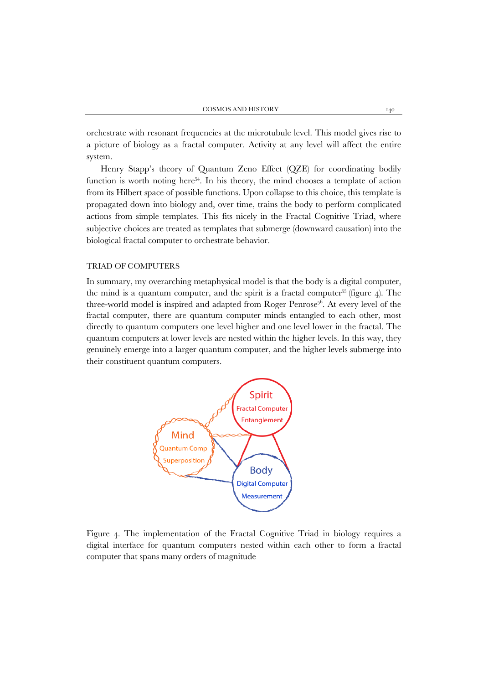orchestrate with resonant frequencies at the microtubule level. This model gives rise to a picture of biology as a fractal computer. Activity at any level will affect the entire system.

Henry Stapp's theory of Quantum Zeno Effect (QZE) for coordinating bodily function is worth noting here $54$ . In his theory, the mind chooses a template of action from its Hilbert space of possible functions. Upon collapse to this choice, this template is propagated down into biology and, over time, trains the body to perform complicated actions from simple templates. This fits nicely in the Fractal Cognitive Triad, where subjective choices are treated as templates that submerge (downward causation) into the biological fractal computer to orchestrate behavior.

## TRIAD OF COMPUTERS

In summary, my overarching metaphysical model is that the body is a digital computer, the mind is a quantum computer, and the spirit is a fractal computer<sup>55</sup> (figure  $4$ ). The three-world model is inspired and adapted from Roger Penrose<sup>56</sup>. At every level of the fractal computer, there are quantum computer minds entangled to each other, most directly to quantum computers one level higher and one level lower in the fractal. The quantum computers at lower levels are nested within the higher levels. In this way, they genuinely emerge into a larger quantum computer, and the higher levels submerge into their constituent quantum computers.



Figure 4. The implementation of the Fractal Cognitive Triad in biology requires a digital interface for quantum computers nested within each other to form a fractal computer that spans many orders of magnitude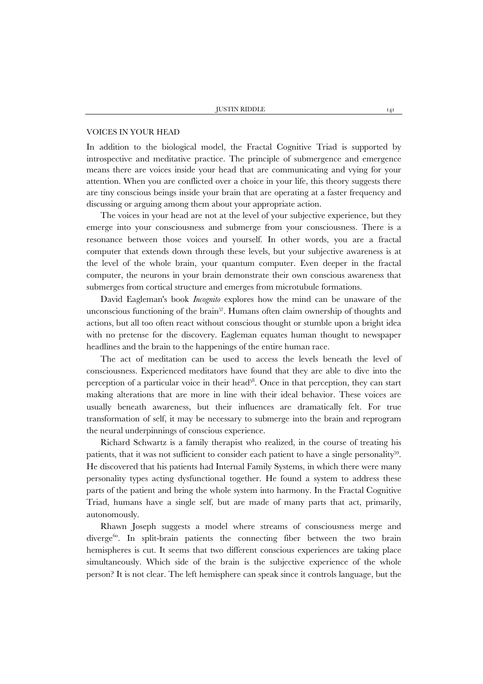#### VOICES IN YOUR HEAD

In addition to the biological model, the Fractal Cognitive Triad is supported by introspective and meditative practice. The principle of submergence and emergence means there are voices inside your head that are communicating and vying for your attention. When you are conflicted over a choice in your life, this theory suggests there are tiny conscious beings inside your brain that are operating at a faster frequency and discussing or arguing among them about your appropriate action.

The voices in your head are not at the level of your subjective experience, but they emerge into your consciousness and submerge from your consciousness. There is a resonance between those voices and yourself. In other words, you are a fractal computer that extends down through these levels, but your subjective awareness is at the level of the whole brain, your quantum computer. Even deeper in the fractal computer, the neurons in your brain demonstrate their own conscious awareness that submerges from cortical structure and emerges from microtubule formations.

David Eagleman's book *Incognito* explores how the mind can be unaware of the unconscious functioning of the brain<sup>57</sup>. Humans often claim ownership of thoughts and actions, but all too often react without conscious thought or stumble upon a bright idea with no pretense for the discovery. Eagleman equates human thought to newspaper headlines and the brain to the happenings of the entire human race.

The act of meditation can be used to access the levels beneath the level of consciousness. Experienced meditators have found that they are able to dive into the perception of a particular voice in their head $58$ . Once in that perception, they can start making alterations that are more in line with their ideal behavior. These voices are usually beneath awareness, but their influences are dramatically felt. For true transformation of self, it may be necessary to submerge into the brain and reprogram the neural underpinnings of conscious experience.

Richard Schwartz is a family therapist who realized, in the course of treating his patients, that it was not sufficient to consider each patient to have a single personality<sup>59</sup>. He discovered that his patients had Internal Family Systems, in which there were many personality types acting dysfunctional together. He found a system to address these parts of the patient and bring the whole system into harmony. In the Fractal Cognitive Triad, humans have a single self, but are made of many parts that act, primarily, autonomously.

Rhawn Joseph suggests a model where streams of consciousness merge and diverge<sup>60</sup>. In split-brain patients the connecting fiber between the two brain hemispheres is cut. It seems that two different conscious experiences are taking place simultaneously. Which side of the brain is the subjective experience of the whole person? It is not clear. The left hemisphere can speak since it controls language, but the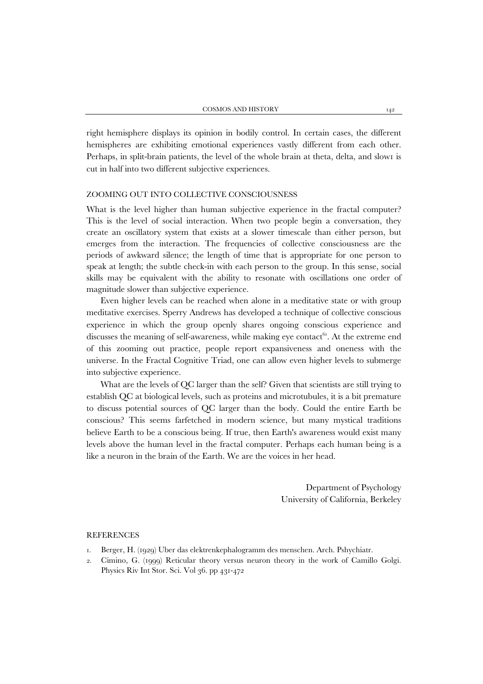right hemisphere displays its opinion in bodily control. In certain cases, the different hemispheres are exhibiting emotional experiences vastly different from each other. Perhaps, in split-brain patients, the level of the whole brain at theta, delta, and slown is cut in half into two different subjective experiences.

## ZOOMING OUT INTO COLLECTIVE CONSCIOUSNESS

What is the level higher than human subjective experience in the fractal computer? This is the level of social interaction. When two people begin a conversation, they create an oscillatory system that exists at a slower timescale than either person, but emerges from the interaction. The frequencies of collective consciousness are the periods of awkward silence; the length of time that is appropriate for one person to speak at length; the subtle check-in with each person to the group. In this sense, social skills may be equivalent with the ability to resonate with oscillations one order of magnitude slower than subjective experience.

Even higher levels can be reached when alone in a meditative state or with group meditative exercises. Sperry Andrews has developed a technique of collective conscious experience in which the group openly shares ongoing conscious experience and discusses the meaning of self-awareness, while making eye contact $^{61}$ . At the extreme end of this zooming out practice, people report expansiveness and oneness with the universe. In the Fractal Cognitive Triad, one can allow even higher levels to submerge into subjective experience.

What are the levels of QC larger than the self? Given that scientists are still trying to establish QC at biological levels, such as proteins and microtubules, it is a bit premature to discuss potential sources of QC larger than the body. Could the entire Earth be conscious? This seems farfetched in modern science, but many mystical traditions believe Earth to be a conscious being. If true, then Earth's awareness would exist many levels above the human level in the fractal computer. Perhaps each human being is a like a neuron in the brain of the Earth. We are the voices in her head.

> Department of Psychology University of California, Berkeley

#### REFERENCES

- 1. Berger, H. (1929) Uber das elektrenkephalogramm des menschen. Arch. Pshychiatr.
- 2. Cimino, G. (1999) Reticular theory versus neuron theory in the work of Camillo Golgi. Physics Riv Int Stor. Sci. Vol 36. pp 431-472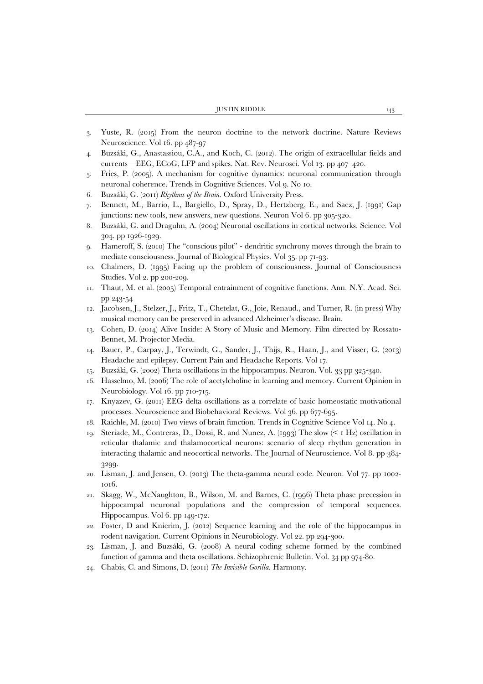- 3. Yuste, R. (2015) From the neuron doctrine to the network doctrine. Nature Reviews Neuroscience. Vol 16. pp 487-97
- 4. Buzsáki, G., Anastassiou, C.A., and Koch, C. (2012). The origin of extracellular fields and currents—EEG, ECoG, LFP and spikes. Nat. Rev. Neurosci. Vol 13. pp 407–420.
- 5. Fries, P. (2005). A mechanism for cognitive dynamics: neuronal communication through neuronal coherence. Trends in Cognitive Sciences. Vol 9. No 10.
- 6. Buzsáki, G. (2011) *Rhythms of the Brain*. Oxford University Press.
- 7. Bennett, M., Barrio, L., Bargiello, D., Spray, D., Hertzberg, E., and Saez, J. (1991) Gap junctions: new tools, new answers, new questions. Neuron Vol 6. pp 305-320.
- 8. Buzsáki, G. and Draguhn, A. (2004) Neuronal oscillations in cortical networks. Science. Vol 304. pp 1926-1929.
- 9. Hameroff, S. (2010) The "conscious pilot" dendritic synchrony moves through the brain to mediate consciousness. Journal of Biological Physics. Vol 35. pp 71-93.
- 10. Chalmers, D. (1995) Facing up the problem of consciousness. Journal of Consciousness Studies. Vol 2. pp 200-209.
- 11. Thaut, M. et al. (2005) Temporal entrainment of cognitive functions. Ann. N.Y. Acad. Sci. pp 243-54
- 12. Jacobsen, J., Stelzer, J., Fritz, T., Chetelat, G., Joie, Renaud., and Turner, R. (in press) Why musical memory can be preserved in advanced Alzheimer's disease. Brain.
- 13. Cohen, D. (2014) Alive Inside: A Story of Music and Memory. Film directed by Rossato-Bennet, M. Projector Media.
- 14. Bauer, P., Carpay, J., Terwindt, G., Sander, J., Thijs, R., Haan, J., and Visser, G. (2013) Headache and epilepsy. Current Pain and Headache Reports. Vol 17.
- 15. Buzsáki, G. (2002) Theta oscillations in the hippocampus. Neuron. Vol. 33 pp 325-340.
- 16. Hasselmo, M. (2006) The role of acetylcholine in learning and memory. Current Opinion in Neurobiology. Vol 16. pp 710-715.
- 17. Knyazev, G. (2011) EEG delta oscillations as a correlate of basic homeostatic motivational processes. Neuroscience and Biobehavioral Reviews. Vol 36. pp 677-695.
- 18. Raichle, M. (2010) Two views of brain function. Trends in Cognitive Science Vol 14. No 4.
- 19. Steriade, M., Contreras, D., Dossi, R. and Nunez, A. (1993) The slow ( $\leq 1$  Hz) oscillation in reticular thalamic and thalamocortical neurons: scenario of sleep rhythm generation in interacting thalamic and neocortical networks. The Journal of Neuroscience. Vol 8. pp 384- 3299.
- 20. Lisman, J. and Jensen, O. (2013) The theta-gamma neural code. Neuron. Vol 77. pp 1002- 1016.
- 21. Skagg, W., McNaughton, B., Wilson, M. and Barnes, C. (1996) Theta phase precession in hippocampal neuronal populations and the compression of temporal sequences. Hippocampus. Vol 6. pp 149-172.
- 22. Foster, D and Knierim, J. (2012) Sequence learning and the role of the hippocampus in rodent navigation. Current Opinions in Neurobiology. Vol 22. pp 294-300.
- 23. Lisman, J. and Buzsáki, G. (2008) A neural coding scheme formed by the combined function of gamma and theta oscillations. Schizophrenic Bulletin. Vol. 34 pp 974-80.
- 24. Chabis, C. and Simons, D. (2011) *The Invisible Gorilla*. Harmony.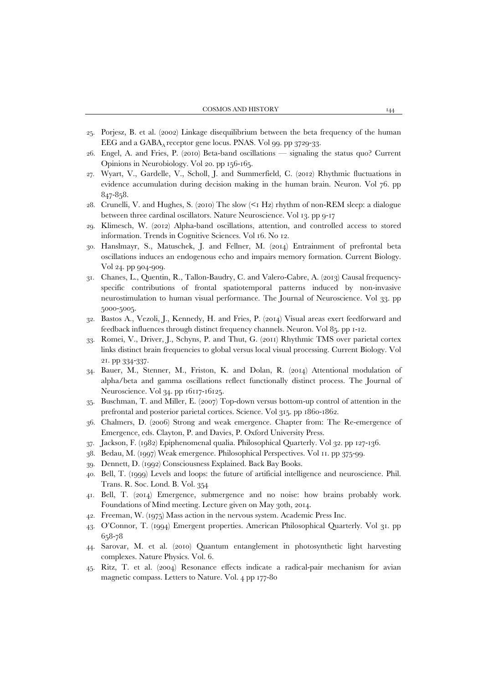- 25. Porjesz, B. et al. (2002) Linkage disequilibrium between the beta frequency of the human EEG and a GABAA receptor gene locus. PNAS. Vol 99. pp 3729-33.
- 26. Engel, A. and Fries, P. (2010) Beta-band oscillations signaling the status quo? Current Opinions in Neurobiology. Vol 20. pp 156-165.
- 27. Wyart, V., Gardelle, V., Scholl, J. and Summerfield, C. (2012) Rhythmic fluctuations in evidence accumulation during decision making in the human brain. Neuron. Vol 76. pp 847-858.
- 28. Crunelli, V. and Hughes, S. (2010) The slow (<1 Hz) rhythm of non-REM sleep: a dialogue between three cardinal oscillators. Nature Neuroscience. Vol 13. pp 9-17
- 29. Klimesch, W. (2012) Alpha-band oscillations, attention, and controlled access to stored information. Trends in Cognitive Sciences. Vol 16. No 12.
- 30. Hanslmayr, S., Matuschek, J. and Fellner, M. (2014) Entrainment of prefrontal beta oscillations induces an endogenous echo and impairs memory formation. Current Biology. Vol 24. pp 904-909.
- 31. Chanes, L., Quentin, R., Tallon-Baudry, C. and Valero-Cabre, A. (2013) Causal frequencyspecific contributions of frontal spatiotemporal patterns induced by non-invasive neurostimulation to human visual performance. The Journal of Neuroscience. Vol 33. pp 5000-5005.
- 32. Bastos A., Vezoli, J., Kennedy, H. and Fries, P. (2014) Visual areas exert feedforward and feedback influences through distinct frequency channels. Neuron. Vol 85. pp 1-12.
- 33. Romei, V., Driver, J., Schyns, P. and Thut, G. (2011) Rhythmic TMS over parietal cortex links distinct brain frequencies to global versus local visual processing. Current Biology. Vol 21. pp 334-337.
- 34. Bauer, M., Stenner, M., Friston, K. and Dolan, R. (2014) Attentional modulation of alpha/beta and gamma oscillations reflect functionally distinct process. The Journal of Neuroscience. Vol 34. pp 16117-16125.
- 35. Buschman, T. and Miller, E. (2007) Top-down versus bottom-up control of attention in the prefrontal and posterior parietal cortices. Science. Vol 315. pp 1860-1862.
- 36. Chalmers, D. (2006) Strong and weak emergence. Chapter from: The Re-emergence of Emergence, eds. Clayton, P. and Davies, P. Oxford University Press.
- 37. Jackson, F. (1982) Epiphenomenal qualia. Philosophical Quarterly. Vol 32. pp 127-136.
- 38. Bedau, M. (1997) Weak emergence. Philosophical Perspectives. Vol 11. pp 375-99.
- 39. Dennett, D. (1992) Consciousness Explained. Back Bay Books.
- 40. Bell, T. (1999) Levels and loops: the future of artificial intelligence and neuroscience. Phil. Trans. R. Soc. Lond. B. Vol. 354
- 41. Bell, T. (2014) Emergence, submergence and no noise: how brains probably work. Foundations of Mind meeting. Lecture given on May 30th, 2014.
- 42. Freeman, W. (1975) Mass action in the nervous system. Academic Press Inc.
- 43. O'Connor, T. (1994) Emergent properties. American Philosophical Quarterly. Vol 31. pp 658-78
- 44. Sarovar, M. et al. (2010) Quantum entanglement in photosynthetic light harvesting complexes. Nature Physics. Vol. 6.
- 45. Ritz, T. et al. (2004) Resonance effects indicate a radical-pair mechanism for avian magnetic compass. Letters to Nature. Vol. 4 pp 177-80